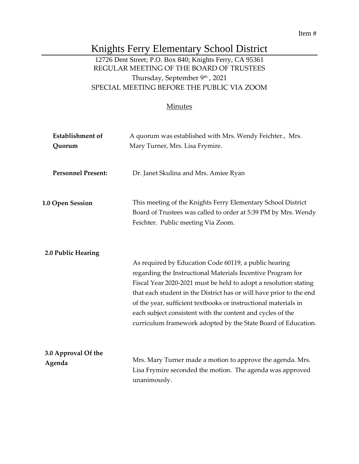# Knights Ferry Elementary School District

## 12726 Dent Street; P.O. Box 840; Knights Ferry, CA 95361 REGULAR MEETING OF THE BOARD OF TRUSTEES Thursday, September 9th, 2021 SPECIAL MEETING BEFORE THE PUBLIC VIA ZOOM

#### **Minutes**

| <b>Establishment</b> of       | A quorum was established with Mrs. Wendy Feichter., Mrs.                                                                                                                                                                                                                                                                                                                                                                                                          |
|-------------------------------|-------------------------------------------------------------------------------------------------------------------------------------------------------------------------------------------------------------------------------------------------------------------------------------------------------------------------------------------------------------------------------------------------------------------------------------------------------------------|
| Quorum                        | Mary Turner, Mrs. Lisa Frymire.                                                                                                                                                                                                                                                                                                                                                                                                                                   |
| <b>Personnel Present:</b>     | Dr. Janet Skulina and Mrs. Amiee Ryan                                                                                                                                                                                                                                                                                                                                                                                                                             |
| <b>1.0 Open Session</b>       | This meeting of the Knights Ferry Elementary School District<br>Board of Trustees was called to order at 5:39 PM by Mrs. Wendy<br>Feichter. Public meeting Via Zoom.                                                                                                                                                                                                                                                                                              |
| 2.0 Public Hearing            | As required by Education Code 60119, a public hearing<br>regarding the Instructional Materials Incentive Program for<br>Fiscal Year 2020-2021 must be held to adopt a resolution stating<br>that each student in the District has or will have prior to the end<br>of the year, sufficient textbooks or instructional materials in<br>each subject consistent with the content and cycles of the<br>curriculum framework adopted by the State Board of Education. |
| 3.0 Approval Of the<br>Agenda | Mrs. Mary Turner made a motion to approve the agenda. Mrs.<br>Lisa Frymire seconded the motion. The agenda was approved<br>unanimously.                                                                                                                                                                                                                                                                                                                           |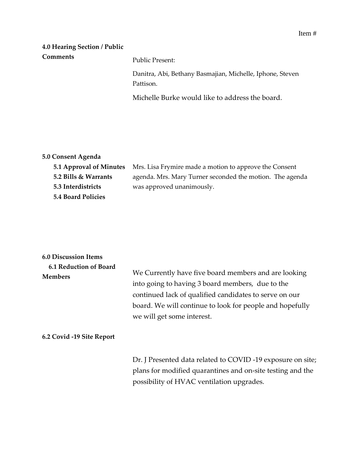## **4.0 Hearing Section / Public Comments**

Public Present:

Danitra, Abi, Bethany Basmajian, Michelle, Iphone, Steven Pattison.

Michelle Burke would like to address the board.

## **5.0 Consent Agenda**

|                           | <b>5.1 Approval of Minutes</b> Mrs. Lisa Frymire made a motion to approve the Consent |
|---------------------------|---------------------------------------------------------------------------------------|
| 5.2 Bills & Warrants      | agenda. Mrs. Mary Turner seconded the motion. The agenda                              |
| 5.3 Interdistricts        | was approved unanimously.                                                             |
| <b>5.4 Board Policies</b> |                                                                                       |

**6.0 Discussion Items**

| 6.1 Reduction of Board |                                                          |
|------------------------|----------------------------------------------------------|
| <b>Members</b>         | We Currently have five board members and are looking     |
|                        | into going to having 3 board members, due to the         |
|                        | continued lack of qualified candidates to serve on our   |
|                        | board. We will continue to look for people and hopefully |
|                        | we will get some interest.                               |

### **6.2 Covid -19 Site Report**

Dr. J Presented data related to COVID -19 exposure on site; plans for modified quarantines and on-site testing and the possibility of HVAC ventilation upgrades.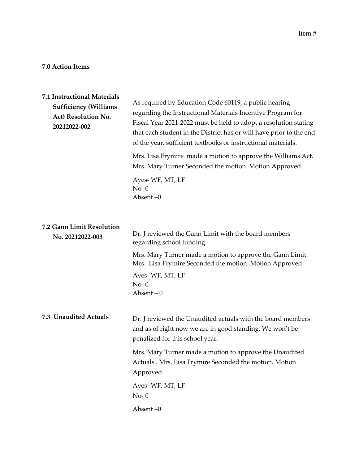### **7.0 Action Items**

| <b>7.1 Instructional Materials</b><br><b>Sufficiency (Williams</b><br>Act) Resolution No.<br>20212022-002 | As required by Education Code 60119, a public hearing<br>regarding the Instructional Materials Incentive Program for<br>Fiscal Year 2021-2022 must be held to adopt a resolution stating<br>that each student in the District has or will have prior to the end<br>of the year, sufficient textbooks or instructional materials. |
|-----------------------------------------------------------------------------------------------------------|----------------------------------------------------------------------------------------------------------------------------------------------------------------------------------------------------------------------------------------------------------------------------------------------------------------------------------|
|                                                                                                           | Mrs. Lisa Frymire made a motion to approve the Williams Act.<br>Mrs. Mary Turner Seconded the motion. Motion Approved.                                                                                                                                                                                                           |
|                                                                                                           | Ayes-WF, MT, LF<br>$No-0$<br>Absent $-0$                                                                                                                                                                                                                                                                                         |
| 7.2 Gann Limit Resolution<br>No. 20212022-003                                                             | Dr. J reviewed the Gann Limit with the board members<br>regarding school funding.                                                                                                                                                                                                                                                |
|                                                                                                           | Mrs. Mary Turner made a motion to approve the Gann Limit.<br>Mrs. Lisa Frymire Seconded the motion. Motion Approved.                                                                                                                                                                                                             |
|                                                                                                           | Ayes-WF, MT, LF<br>$No-0$<br>Absent $-0$                                                                                                                                                                                                                                                                                         |
| 7.3 Unaudited Actuals                                                                                     | Dr. J reviewed the Unaudited actuals with the board members<br>and as of right now we are in good standing. We won't be<br>penalized for this school year.                                                                                                                                                                       |
|                                                                                                           | Mrs. Mary Turner made a motion to approve the Unaudited<br>Actuals . Mrs. Lisa Frymire Seconded the motion. Motion<br>Approved.                                                                                                                                                                                                  |
|                                                                                                           | Ayes-WF, MT, LF<br>$No-0$                                                                                                                                                                                                                                                                                                        |
|                                                                                                           | Absent-0                                                                                                                                                                                                                                                                                                                         |